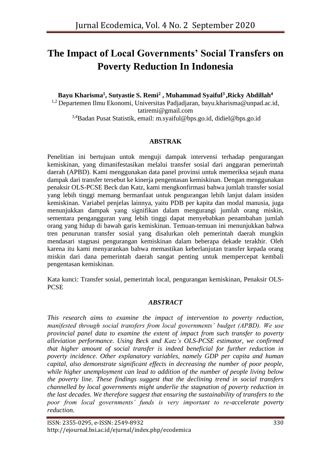# **The Impact of Local Governments' Social Transfers on Poverty Reduction In Indonesia**

**Bayu Kharisma<sup>1</sup> , Sutyastie S. Remi<sup>2</sup> , Muhammad Syaiful<sup>3</sup>,Ricky Abdillah<sup>4</sup>** <sup>1,2</sup> Departemen Ilmu Ekonomi, Universitas Padjadjaran, [bayu.kharisma@unpad.ac.id,](mailto:bayu.kharisma@unpad.ac.id) [tatiremi@gmail.com](mailto:tatiremi@gmail.com) 3,4Badan Pusat Statistik, email: [m.syaiful@bps.go.id,](mailto:m.syaiful@bps.go.id) [didiel@bps.go.id](mailto:didiel@bps.go.id)

## **ABSTRAK**

Penelitian ini bertujuan untuk menguji dampak intervensi terhadap pengurangan kemiskinan, yang dimanifestasikan melalui transfer sosial dari anggaran pemerintah daerah (APBD). Kami menggunakan data panel provinsi untuk memeriksa sejauh mana dampak dari transfer tersebut ke kinerja pengentasan kemiskinan. Dengan menggunakan penaksir OLS-PCSE Beck dan Katz, kami mengkonfirmasi bahwa jumlah transfer sosial yang lebih tinggi memang bermanfaat untuk pengurangan lebih lanjut dalam insiden kemiskinan. Variabel penjelas lainnya, yaitu PDB per kapita dan modal manusia, juga menunjukkan dampak yang signifikan dalam mengurangi jumlah orang miskin, sementara pengangguran yang lebih tinggi dapat menyebabkan penambahan jumlah orang yang hidup di bawah garis kemiskinan. Temuan-temuan ini menunjukkan bahwa tren penurunan transfer sosial yang disalurkan oleh pemerintah daerah mungkin mendasari stagnasi pengurangan kemiskinan dalam beberapa dekade terakhir. Oleh karena itu kami menyarankan bahwa memastikan keberlanjutan transfer kepada orang miskin dari dana pemerintah daerah sangat penting untuk mempercepat kembali pengentasan kemiskinan.

Kata kunci: Transfer sosial, pemerintah local, pengurangan kemiskinan, Penaksir OLS-PCSE

#### *ABSTRACT*

*This research aims to examine the impact of intervention to poverty reduction, manifested through social transfers from local governments' budget (APBD). We use provincial panel data to examine the extent of impact from such transfer to poverty alleviation performance. Using Beck and Katz's OLS-PCSE estimator, we confirmed that higher amount of social transfer is indeed beneficial for further reduction in poverty incidence. Other explanatory variables, namely GDP per capita and human capital, also demonstrate significant effects in decreasing the number of poor people, while higher unemployment can lead to addition of the number of people living below the poverty line. These findings suggest that the declining trend in social transfers channelled by local governments might underlie the stagnation of poverty reduction in the last decades. We therefore suggest that ensuring the sustainability of transfers to the poor from local governments' funds is very important to re-accelerate poverty reduction.*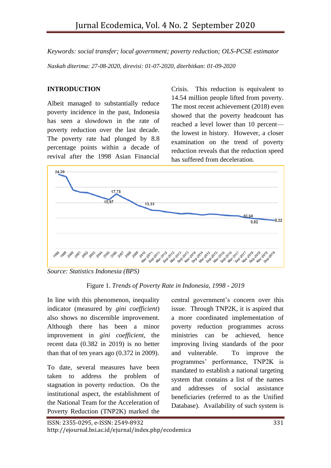*Keywords: social transfer; local government; poverty reduction; OLS-PCSE estimator Naskah diterima: 27-08-2020, direvisi: 01-07-2020, diterbitkan: 01-09-2020*

# **INTRODUCTION**

Albeit managed to substantially reduce poverty incidence in the past, Indonesia has seen a slowdown in the rate of poverty reduction over the last decade. The poverty rate had plunged by 8.8 percentage points within a decade of revival after the 1998 Asian Financial

Crisis. This reduction is equivalent to 14.54 million people lifted from poverty. The most recent achievement (2018) even showed that the poverty headcount has reached a level lower than 10 percent the lowest in history. However, a closer examination on the trend of poverty reduction reveals that the reduction speed has suffered from deceleration.



*Source: Statistics Indonesia (BPS)*

Figure 1. *Trends of Poverty Rate in Indonesia, 1998 - 2019*

In line with this phenomenon, inequality indicator (measured by *gini coefficient*) also shows no discernible improvement. Although there has been a minor improvement in *gini coefficient*, the recent data (0.382 in 2019) is no better than that of ten years ago (0.372 in 2009).

To date, several measures have been taken to address the problem of stagnation in poverty reduction. On the institutional aspect, the establishment of the National Team for the Acceleration of Poverty Reduction (TNP2K) marked the

central government's concern over this issue. Through TNP2K, it is aspired that a more coordinated implementation of poverty reduction programmes across ministries can be achieved, hence improving living standards of the poor and vulnerable. To improve the programmes' performance, TNP2K is mandated to establish a national targeting system that contains a list of the names and addresses of social assistance beneficiaries (referred to as the Unified Database). Availability of such system is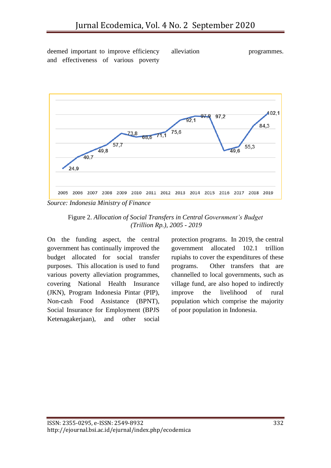deemed important to improve efficiency and effectiveness of various poverty

alleviation programmes.



Figure 2. *Allocation of Social Transfers in Central Government's Budget (Trillion Rp.), 2005 - 2019*

On the funding aspect, the central government has continually improved the budget allocated for social transfer purposes. This allocation is used to fund various poverty alleviation programmes, covering National Health Insurance (JKN), Program Indonesia Pintar (PIP), Non-cash Food Assistance (BPNT), Social Insurance for Employment (BPJS Ketenagakerjaan), and other social protection programs. In 2019, the central government allocated 102.1 trillion rupiahs to cover the expenditures of these programs. Other transfers that are channelled to local governments, such as village fund, are also hoped to indirectly improve the livelihood of rural population which comprise the majority of poor population in Indonesia.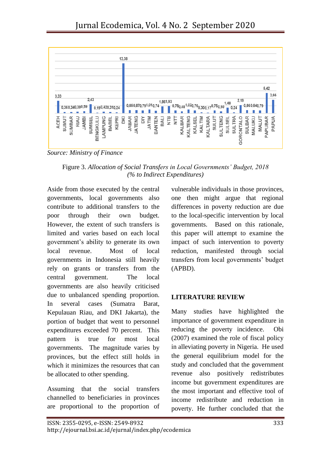

*Source: Ministry of Finance*

Figure 3. *Allocation of Social Transfers in Local Governments' Budget, 2018 (% to Indirect Expenditures)*

Aside from those executed by the central governments, local governments also contribute to additional transfers to the poor through their own budget. However, the extent of such transfers is limited and varies based on each local government's ability to generate its own local revenue. Most of local governments in Indonesia still heavily rely on grants or transfers from the central government. The local governments are also heavily criticised due to unbalanced spending proportion. In several cases (Sumatra Barat, Kepulauan Riau, and DKI Jakarta), the portion of budget that went to personnel expenditures exceeded 70 percent. This pattern is true for most local governments. The magnitude varies by provinces, but the effect still holds in which it minimizes the resources that can be allocated to other spending.

Assuming that the social transfers channelled to beneficiaries in provinces are proportional to the proportion of vulnerable individuals in those provinces, one then might argue that regional differences in poverty reduction are due to the local-specific intervention by local governments. Based on this rationale, this paper will attempt to examine the impact of such intervention to poverty reduction, manifested through social transfers from local governments' budget (APBD).

## **LITERATURE REVIEW**

Many studies have highlighted the importance of government expenditure in reducing the poverty incidence. Obi (2007) examined the role of fiscal policy in alleviating poverty in Nigeria. He used the general equilibrium model for the study and concluded that the government revenue also positively redistributes income but government expenditures are the most important and effective tool of income redistribute and reduction in poverty. He further concluded that the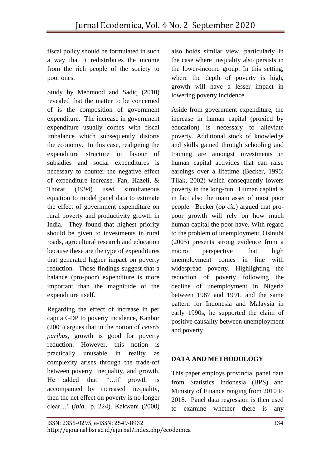fiscal policy should be formulated in such a way that it redistributes the income from the rich people of the society to poor ones.

Study by Mehmood and Sadiq (2010) revealed that the matter to be concerned of is the composition of government expenditure. The increase in government expenditure usually comes with fiscal imbalance which subsequently distorts the economy. In this case, realigning the expenditure structure in favour of subsidies and social expenditures is necessary to counter the negative effect of expenditure increase. Fan, Hazeli, & Thorat (1994) used simultaneous equation to model panel data to estimate the effect of government expenditure on rural poverty and productivity growth in India. They found that highest priority should be given to investments in rural roads, agricultural research and education because these are the type of expenditures that generated higher impact on poverty reduction. Those findings suggest that a balance (pro-poor) expenditure is more important than the magnitude of the expenditure itself.

Regarding the effect of increase in per capita GDP to poverty incidence, Kanbur (2005) argues that in the notion of *ceteris paribus*, growth is good for poverty reduction. However, this notion is practically unusable in reality as complexity arises through the trade-off between poverty, inequality, and growth. He added that: '…if growth is accompanied by increased inequality, then the net effect on poverty is no longer clear…' (*ibid*., p. 224). Kakwani (2000) also holds similar view, particularly in the case where inequality also persists in the lower-income group. In this setting, where the depth of poverty is high, growth will have a lesser impact in lowering poverty incidence.

Aside from government expenditure, the increase in human capital (proxied by education) is necessary to alleviate poverty. Additional stock of knowledge and skills gained through schooling and training are amongst investments in human capital activities that can raise earnings over a lifetime (Becker, 1995; Tilak, 2002) which consequently lowers poverty in the long-run. Human capital is in fact also the main asset of most poor people. Becker (*op cit.*) argued that propoor growth will rely on how much human capital the poor have. With regard to the problem of unemployment, Osinubi (2005) presents strong evidence from a macro perspective that high unemployment comes in line with widespread poverty. Highlighting the reduction of poverty following the decline of unemployment in Nigeria between 1987 and 1991, and the same pattern for Indonesia and Malaysia in early 1990s, he supported the claim of positive causality between unemployment and poverty.

# **DATA AND METHODOLOGY**

This paper employs provincial panel data from Statistics Indonesia (BPS) and Ministry of Finance ranging from 2010 to 2018. Panel data regression is then used to examine whether there is any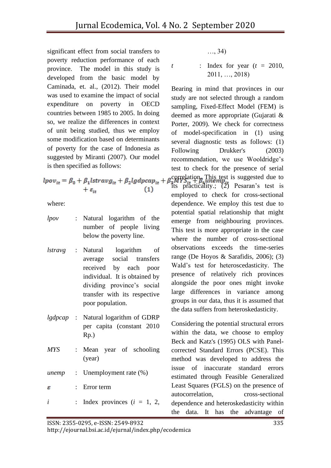significant effect from social transfers to poverty reduction performance of each province. The model in this study is developed from the basic model by Caminada, et. al., (2012). Their model was used to examine the impact of social expenditure on poverty in OECD countries between 1985 to 2005. In doing so, we realize the differences in context of unit being studied, thus we employ some modification based on determinants of poverty for the case of Indonesia as suggested by Miranti (2007). Our model is then specified as follows:

$$
lpov_{it} = \beta_0 + \beta_1 lstrav g_{it} + \beta_2 lgdpcap_{it} ++ \varepsilon_{it}
$$
 (1)

where:

| lpov       |                           | : Natural logarithm of the<br>number of people living<br>below the poverty line.                                                                                                                              |
|------------|---------------------------|---------------------------------------------------------------------------------------------------------------------------------------------------------------------------------------------------------------|
|            |                           | <i>lstravg</i> : Natural logarithm of<br>average social transfers<br>received by each poor<br>individual. It is obtained by<br>dividing province's social<br>transfer with its respective<br>poor population. |
|            |                           | <i>lgdpcap</i> : Natural logarithm of GDRP<br>per capita (constant 2010<br>Rp.)                                                                                                                               |
| <b>MYS</b> | $\mathbb{R}^{\mathbb{Z}}$ | Mean year of schooling<br>(year)                                                                                                                                                                              |
|            |                           | <i>unemp</i> : Unemployment rate (%)                                                                                                                                                                          |
| ε          | $\mathbf{r}$              | Error term                                                                                                                                                                                                    |
| i          |                           | : Index provinces $(i = 1, 2, )$                                                                                                                                                                              |

…, 34)

*t* : Index for year (*t =* 2010, 2011, …, 2018)

Bearing in mind that provinces in our study are not selected through a random sampling, Fixed-Effect Model (FEM) is deemed as more appropriate (Gujarati & Porter, 2009). We check for correctness of model-specification in (1) using several diagnostic tests as follows: (1) Following Drukker's (2003) recommendation, we use Wooldridge's test to check for the presence of serial correlation. This test is suggested due to  $i$ <sup>t</sup>  $j$ <sub>it</sub>  $j$ <sup>t</sup>  $j$ <sub>it</sub>  $j$ <sub>1</sub>  $j$ <sub>it</sub>  $j$ <sub>2</sub>) Pesaran's test is employed to check for cross-sectional dependence. We employ this test due to potential spatial relationship that might emerge from neighbouring provinces. This test is more appropriate in the case where the number of cross-sectional observations exceeds the time-series range (De Hoyos & Sarafidis, 2006); (3) Wald's test for heteroscedasticity. The presence of relatively rich provinces alongside the poor ones might invoke large differences in variance among groups in our data, thus it is assumed that the data suffers from heteroskedasticity.

Considering the potential structural errors within the data, we choose to employ Beck and Katz's (1995) OLS with Panelcorrected Standard Errors (PCSE). This method was developed to address the issue of inaccurate standard errors estimated through Feasible Generalized Least Squares (FGLS) on the presence of autocorrelation, cross-sectional dependence and heteroskedasticity within the data. It has the advantage of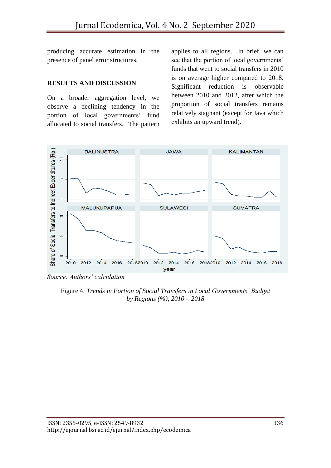producing accurate estimation in the presence of panel error structures.

#### **RESULTS AND DISCUSSION**

On a broader aggregation level, we observe a declining tendency in the portion of local governments' fund allocated to social transfers. The pattern applies to all regions. In brief, we can see that the portion of local governments' funds that went to social transfers in 2010 is on average higher compared to 2018. Significant reduction is observable between 2010 and 2012, after which the proportion of social transfers remains relatively stagnant (except for Java which exhibits an upward trend).



*Source: Authors' calculation*

Figure 4. *Trends in Portion of Social Transfers in Local Governments' Budget by Regions (%), 2010 – 2018*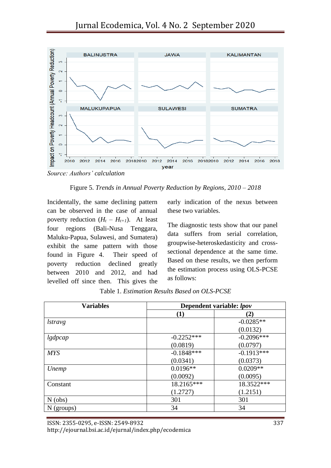

*Source: Authors' calculation*

Figure 5. *Trends in Annual Poverty Reduction by Regions, 2010 – 2018*

Incidentally, the same declining pattern can be observed in the case of annual poverty reduction  $(H_t - H_{t+1})$ . At least four regions (Bali-Nusa Tenggara, Maluku-Papua, Sulawesi, and Sumatera) exhibit the same pattern with those found in Figure 4. Their speed of poverty reduction declined greatly between 2010 and 2012, and had levelled off since then. This gives the

early indication of the nexus between these two variables.

The diagnostic tests show that our panel data suffers from serial correlation, groupwise-heteroskedasticity and crosssectional dependence at the same time. Based on these results, we then perform the estimation process using OLS-PCSE as follows:

| <b>Variables</b> | Dependent variable: lpov |              |  |
|------------------|--------------------------|--------------|--|
|                  | $\bf(1)$                 | (2)          |  |
| <i>lstravg</i>   |                          | $-0.0285**$  |  |
|                  |                          | (0.0132)     |  |
| lgdpcap          | $-0.2252***$             | $-0.2096***$ |  |
|                  | (0.0819)                 | (0.0797)     |  |
| <b>MYS</b>       | $-0.1848***$             | $-0.1913***$ |  |
|                  | (0.0341)                 | (0.0373)     |  |
| Unemp            | $0.0196**$               | $0.0209**$   |  |
|                  | (0.0092)                 | (0.0095)     |  |
| Constant         | 18.2165***               | 18.3522***   |  |
|                  | (1.2727)                 | (1.2151)     |  |
| $N$ (obs)        | 301                      | 301          |  |
| $N$ (groups)     | 34                       | 34           |  |

Table 1. *Estimation Results Based on OLS-PCSE*

ISSN: 2355-0295, e-ISSN: 2549-8932 337

http://ejournal.bsi.ac.id/ejurnal/index.php/ecodemica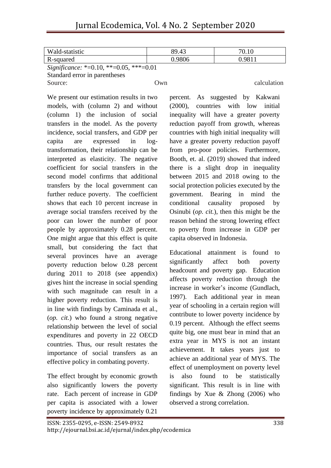| Wald-statistic                                                                                                                                                                                                                        | 89.43  | 70.1 <sub>b</sub> |  |  |  |
|---------------------------------------------------------------------------------------------------------------------------------------------------------------------------------------------------------------------------------------|--------|-------------------|--|--|--|
| R-squared                                                                                                                                                                                                                             | 0.9806 | 0.9811            |  |  |  |
| $C^*$ $C^*$ $\rightarrow$ $C^*$ $C^*$ $D^*$ $D^*$ $D^*$ $D^*$ $D^*$ $D^*$ $D^*$ $D^*$ $D^*$ $D^*$ $D^*$ $D^*$ $D^*$ $D^*$ $D^*$ $D^*$ $D^*$ $D^*$ $D^*$ $D^*$ $D^*$ $D^*$ $D^*$ $D^*$ $D^*$ $D^*$ $D^*$ $D^*$ $D^*$ $D^*$ $D^*$ $D^*$ |        |                   |  |  |  |

*Significance:* \*=0.10, \*\*=0.05, \*\*\*=0.01 Standard error in parentheses Source: Own Own calculation

We present our estimation results in two models, with (column 2) and without (column 1) the inclusion of social transfers in the model. As the poverty incidence, social transfers, and GDP per capita are expressed in logtransformation, their relationship can be interpreted as elasticity. The negative coefficient for social transfers in the second model confirms that additional transfers by the local government can further reduce poverty. The coefficient shows that each 10 percent increase in average social transfers received by the poor can lower the number of poor people by approximately 0.28 percent. One might argue that this effect is quite small, but considering the fact that several provinces have an average poverty reduction below 0.28 percent during 2011 to 2018 (see appendix) gives hint the increase in social spending with such magnitude can result in a higher poverty reduction. This result is in line with findings by Caminada et al., (*op. cit.*) who found a strong negative relationship between the level of social expenditures and poverty in 22 OECD countries. Thus, our result restates the importance of social transfers as an effective policy in combating poverty.

The effect brought by economic growth also significantly lowers the poverty rate. Each percent of increase in GDP per capita is associated with a lower poverty incidence by approximately 0.21

percent. As suggested by Kakwani (2000), countries with low initial inequality will have a greater poverty reduction payoff from growth, whereas countries with high initial inequality will have a greater poverty reduction payoff from pro-poor policies. Furthermore, Booth, et. al. (2019) showed that indeed there is a slight drop in inequality between 2015 and 2018 owing to the social protection policies executed by the government. Bearing in mind the conditional causality proposed by Osinubi (*op. cit.*), then this might be the reason behind the strong lowering effect to poverty from increase in GDP per capita observed in Indonesia.

Educational attainment is found to significantly affect both poverty headcount and poverty gap. Education affects poverty reduction through the increase in worker's income (Gundlach, 1997). Each additional year in mean year of schooling in a certain region will contribute to lower poverty incidence by 0.19 percent. Although the effect seems quite big, one must bear in mind that an extra year in MYS is not an instant achievement. It takes years just to achieve an additional year of MYS. The effect of unemployment on poverty level is also found to be statistically significant. This result is in line with findings by Xue  $&$  Zhong (2006) who observed a strong correlation.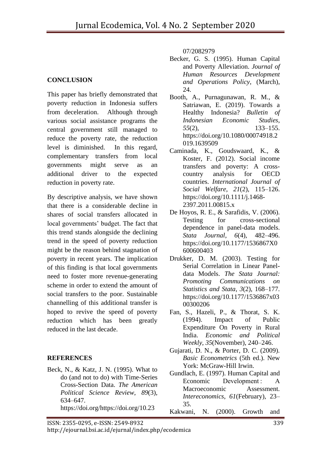#### **CONCLUSION**

This paper has briefly demonstrated that poverty reduction in Indonesia suffers from deceleration. Although through various social assistance programs the central government still managed to reduce the poverty rate, the reduction level is diminished. In this regard, complementary transfers from local governments might serve as an additional driver to the expected reduction in poverty rate.

By descriptive analysis, we have shown that there is a considerable decline in shares of social transfers allocated in local governments' budget. The fact that this trend stands alongside the declining trend in the speed of poverty reduction might be the reason behind stagnation of poverty in recent years. The implication of this finding is that local governments need to foster more revenue-generating scheme in order to extend the amount of social transfers to the poor. Sustainable channelling of this additional transfer is hoped to revive the speed of poverty reduction which has been greatly reduced in the last decade.

#### **REFERENCES**

Beck, N., & Katz, J. N. (1995). What to do (and not to do) with Time-Series Cross-Section Data. *The American Political Science Review*, *89*(3), 634–647. https://doi.org/https://doi.org/10.23

07/2082979

- Becker, G. S. (1995). Human Capital and Poverty Alleviation. *Journal of Human Resources Development and Operations Policy*, (March), 24.
- Booth, A., Purnagunawan, R. M., & Satriawan, E. (2019). Towards a Healthy Indonesia? *Bulletin of Indonesian Economic Studies*, *55*(2), 133–155. https://doi.org/10.1080/00074918.2 019.1639509
- Caminada, K., Goudswaard, K., & Koster, F. (2012). Social income transfers and poverty: A crosscountry analysis for OECD countries. *International Journal of Social Welfare*, *21*(2), 115–126. https://doi.org/10.1111/j.1468- 2397.2011.00815.x
- De Hoyos, R. E., & Sarafidis, V. (2006). Testing for cross-sectional dependence in panel-data models. *Stata Journal*, *6*(4), 482–496. https://doi.org/10.1177/1536867X0 600600403
- Drukker, D. M. (2003). Testing for Serial Correlation in Linear Paneldata Models. *The Stata Journal: Promoting Communications on Statistics and Stata*, *3*(2), 168–177. https://doi.org/10.1177/1536867x03 00300206
- Fan, S., Hazeli, P., & Thorat, S. K. (1994). Impact of Public Expenditure On Poverty in Rural India. *Economic and Political Weekly*, *35*(November), 240–246.
- Gujarati, D. N., & Porter, D. C. (2009). *Basic Econometrics* (5th ed.). New York: McGraw-Hill Irwin.
- Gundlach, E. (1997). Human Capital and Economic Development : A Macroeconomic Assessment. *Intereconomics*, *61*(February), 23– 35.

Kakwani, N. (2000). Growth and